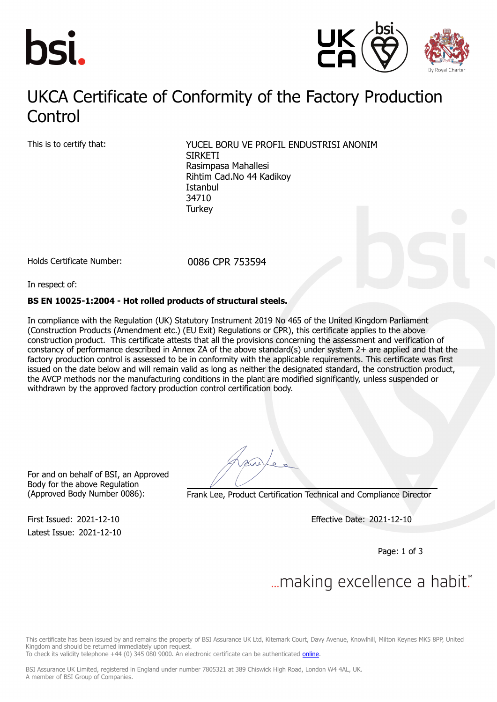



### UKCA Contificate of Conformity of the Factory Production Control UKCA Certificate of Conformity of the Factory Production

This is to certify that: YUCEL BORU VE PROFIL ENDUSTRISI ANONIM **SIRKETI** Rasimpasa Mahallesi Rihtim Cad.No 44 Kadikoy Istanbul 34710 **Turkey** 

Holds Certificate Number: 0086 CPR 753594

In respect of:

#### **BS EN 10025-1:2004 - Hot rolled products of structural steels.**

In compliance with the Regulation (UK) Statutory Instrument 2019 No 465 of the United Kingdom Parliament (Construction Products (Amendment etc.) (EU Exit) Regulations or CPR), this certificate applies to the above construction product. This certificate attests that all the provisions concerning the assessment and verification of constancy of performance described in Annex ZA of the above standard(s) under system 2+ are applied and that the factory production control is assessed to be in conformity with the applicable requirements. This certificate was first issued on the date below and will remain valid as long as neither the designated standard, the construction product, the AVCP methods nor the manufacturing conditions in the plant are modified significantly, unless suspended or withdrawn by the approved factory production control certification body.

For and on behalf of BSI, an Approved Body for the above Regulation

Latest Issue: 2021-12-10

(Approved Body Number 0086): Frank Lee, Product Certification Technical and Compliance Director

First Issued: 2021-12-10 Effective Date: 2021-12-10

Page: 1 of 3

# ... making excellence a habit.

This certificate has been issued by and remains the property of BSI Assurance UK Ltd, Kitemark Court, Davy Avenue, Knowlhill, Milton Keynes MK5 8PP, United Kingdom and should be returned immediately upon request.

To check its validity telephone +44 (0) 345 080 9000. An electronic certificate can be authenticated *[online](https://pgplus.bsigroup.com/CertificateValidation/CertificateValidator.aspx?CertificateNumber=CPR+753594&ReIssueDate=10%2f12%2f2021&Template=uk)*.

BSI Assurance UK Limited, registered in England under number 7805321 at 389 Chiswick High Road, London W4 4AL, UK. A member of BSI Group of Companies.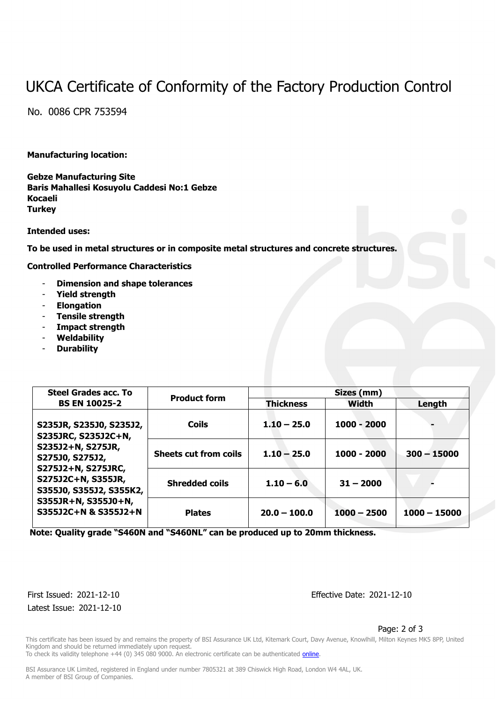## UKCA Certificate of Conformity of the Factory Production Control

No. 0086 CPR 753594

#### **Manufacturing location:**

**Gebze Manufacturing Site Baris Mahallesi Kosuyolu Caddesi No:1 Gebze Kocaeli Turkey**

**Intended uses:**

**To be used in metal structures or in composite metal structures and concrete structures.**

**Controlled Performance Characteristics**

- **Dimension and shape tolerances**
- **Yield strength**
- **Elongation**
- **Tensile strength**
- **Impact strength**
- **Weldability**
- **Durability**

| <b>Steel Grades acc. To</b><br><b>BS EN 10025-2</b>                                                                                                                                                          | <b>Product form</b>          | Sizes (mm)       |               |                |
|--------------------------------------------------------------------------------------------------------------------------------------------------------------------------------------------------------------|------------------------------|------------------|---------------|----------------|
|                                                                                                                                                                                                              |                              | <b>Thickness</b> | Width         | Length         |
| S235JR, S235J0, S235J2,<br>S235JRC, S235J2C+N,<br>S235J2+N, S275JR,<br>S275J0, S275J2,<br>S275J2+N, S275JRC,<br>S275J2C+N, S355JR,<br>S355J0, S355J2, S355K2,<br>S355JR+N, S355J0+N,<br>S355J2C+N & S355J2+N | <b>Coils</b>                 | $1.10 - 25.0$    | 1000 - 2000   |                |
|                                                                                                                                                                                                              | <b>Sheets cut from coils</b> | $1.10 - 25.0$    | $1000 - 2000$ | $300 - 15000$  |
|                                                                                                                                                                                                              | <b>Shredded coils</b>        | $1.10 - 6.0$     | $31 - 2000$   |                |
|                                                                                                                                                                                                              | <b>Plates</b>                | $20.0 - 100.0$   | $1000 - 2500$ | $1000 - 15000$ |

 **Note: Quality grade "S460N and "S460NL" can be produced up to 20mm thickness.**

Latest Issue: 2021-12-10

First Issued: 2021-12-10 Effective Date: 2021-12-10

Page: 2 of 3

This certificate has been issued by and remains the property of BSI Assurance UK Ltd, Kitemark Court, Davy Avenue, Knowlhill, Milton Keynes MK5 8PP, United Kingdom and should be returned immediately upon request. To check its validity telephone +44 (0) 345 080 9000. An electronic certificate can be authenticated [online](https://pgplus.bsigroup.com/CertificateValidation/CertificateValidator.aspx?CertificateNumber=CPR+753594&ReIssueDate=10%2f12%2f2021&Template=uk).

BSI Assurance UK Limited, registered in England under number 7805321 at 389 Chiswick High Road, London W4 4AL, UK. A member of BSI Group of Companies.